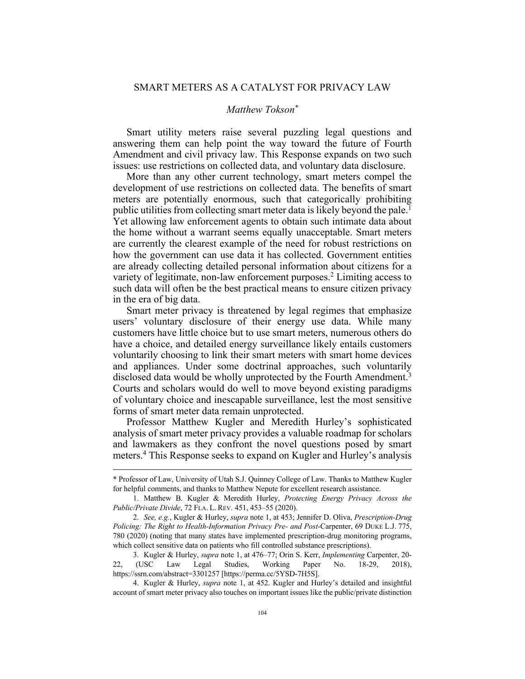# SMART METERS AS A CATALYST FOR PRIVACY LAW

## *Matthew Tokson\**

Smart utility meters raise several puzzling legal questions and answering them can help point the way toward the future of Fourth Amendment and civil privacy law. This Response expands on two such issues: use restrictions on collected data, and voluntary data disclosure.

More than any other current technology, smart meters compel the development of use restrictions on collected data. The benefits of smart meters are potentially enormous, such that categorically prohibiting public utilities from collecting smart meter data is likely beyond the pale.<sup>1</sup> Yet allowing law enforcement agents to obtain such intimate data about the home without a warrant seems equally unacceptable. Smart meters are currently the clearest example of the need for robust restrictions on how the government can use data it has collected. Government entities are already collecting detailed personal information about citizens for a variety of legitimate, non-law enforcement purposes.2 Limiting access to such data will often be the best practical means to ensure citizen privacy in the era of big data.

Smart meter privacy is threatened by legal regimes that emphasize users' voluntary disclosure of their energy use data. While many customers have little choice but to use smart meters, numerous others do have a choice, and detailed energy surveillance likely entails customers voluntarily choosing to link their smart meters with smart home devices and appliances. Under some doctrinal approaches, such voluntarily disclosed data would be wholly unprotected by the Fourth Amendment.<sup>3</sup> Courts and scholars would do well to move beyond existing paradigms of voluntary choice and inescapable surveillance, lest the most sensitive forms of smart meter data remain unprotected.

Professor Matthew Kugler and Meredith Hurley's sophisticated analysis of smart meter privacy provides a valuable roadmap for scholars and lawmakers as they confront the novel questions posed by smart meters.4 This Response seeks to expand on Kugler and Hurley's analysis

4. Kugler & Hurley, *supra* note 1, at 452. Kugler and Hurley's detailed and insightful account of smart meter privacy also touches on important issues like the public/private distinction

<sup>\*</sup> Professor of Law, University of Utah S.J. Quinney College of Law. Thanks to Matthew Kugler for helpful comments, and thanks to Matthew Nepute for excellent research assistance.

<sup>1.</sup> Matthew B. Kugler & Meredith Hurley, *Protecting Energy Privacy Across the Public/Private Divide*, 72 FLA. L. REV. 451, 453–55 (2020).

<sup>2.</sup> *See, e.g.*, Kugler & Hurley, *supra* note 1, at 453; Jennifer D. Oliva, *Prescription-Drug Policing: The Right to Health-Information Privacy Pre- and Post-*Carpenter, 69 DUKE L.J. 775, 780 (2020) (noting that many states have implemented prescription-drug monitoring programs, which collect sensitive data on patients who fill controlled substance prescriptions).

<sup>3.</sup> Kugler & Hurley, *supra* note 1, at 476–77; Orin S. Kerr, *Implementing* Carpenter, 20- 22, (USC Law Legal Studies, Working Paper No. 18-29, 2018), https://ssrn.com/abstract=3301257 [https://perma.cc/5YSD-7H5S].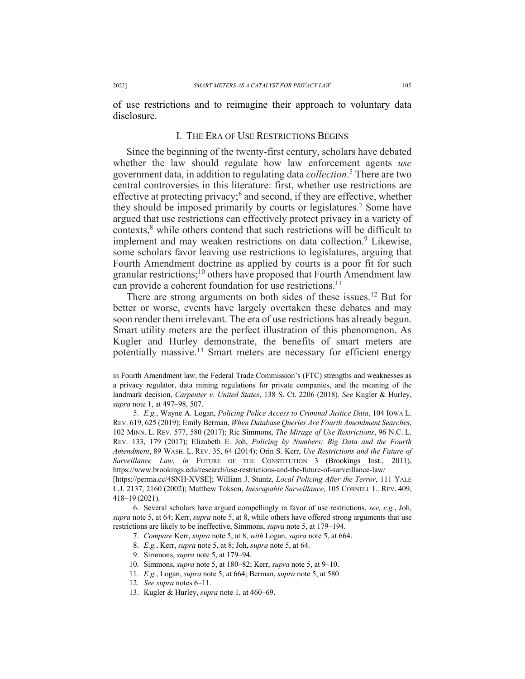of use restrictions and to reimagine their approach to voluntary data disclosure.

#### I. THE ERA OF USE RESTRICTIONS BEGINS

Since the beginning of the twenty-first century, scholars have debated whether the law should regulate how law enforcement agents *use* government data, in addition to regulating data *collection*. <sup>5</sup> There are two central controversies in this literature: first, whether use restrictions are effective at protecting privacy;6 and second, if they are effective, whether they should be imposed primarily by courts or legislatures.7 Some have argued that use restrictions can effectively protect privacy in a variety of contexts,<sup>8</sup> while others contend that such restrictions will be difficult to implement and may weaken restrictions on data collection.<sup>9</sup> Likewise, some scholars favor leaving use restrictions to legislatures, arguing that Fourth Amendment doctrine as applied by courts is a poor fit for such granular restrictions;10 others have proposed that Fourth Amendment law can provide a coherent foundation for use restrictions.<sup>11</sup>

There are strong arguments on both sides of these issues.<sup>12</sup> But for better or worse, events have largely overtaken these debates and may soon render them irrelevant. The era of use restrictions has already begun. Smart utility meters are the perfect illustration of this phenomenon. As Kugler and Hurley demonstrate, the benefits of smart meters are potentially massive.<sup>13</sup> Smart meters are necessary for efficient energy

5. *E.g.*, Wayne A. Logan, *Policing Police Access to Criminal Justice Data*, 104 IOWA L. REV. 619, 625 (2019); Emily Berman, *When Database Queries Are Fourth Amendment Searches*, 102 MINN. L. REV. 577, 580 (2017); Ric Simmons, *The Mirage of Use Restrictions*, 96 N.C. L. REV. 133, 179 (2017); Elizabeth E. Joh, *Policing by Numbers: Big Data and the Fourth Amendment*, 89 WASH. L. REV. 35, 64 (2014); Orin S. Kerr, *Use Restrictions and the Future of Surveillance Law*, *in* FUTURE OF THE CONSTITUTION 3 (Brookings Inst., 2011), https://www.brookings.edu/research/use-restrictions-and-the-future-of-surveillance-law/

[https://perma.cc/4SNH-XVSE]; William J. Stuntz, *Local Policing After the Terror*, 111 YALE L.J. 2137, 2160 (2002); Matthew Tokson, *Inescapable Surveillance*, 105 CORNELL L. REV. 409, 418–19 (2021).

6. Several scholars have argued compellingly in favor of use restrictions, *see, e.g.*, Joh, *supra* note 5, at 64; Kerr, *supra* note 5, at 8, while others have offered strong arguments that use restrictions are likely to be ineffective, Simmons, *supra* note 5, at 179–194.

7. *Compare* Kerr, *supra* note 5, at 8, *with* Logan, *supra* note 5, at 664.

- 8. *E.g.*, Kerr, *supra* note 5, at 8; Joh, *supra* note 5, at 64.
- 9. Simmons, *supra* note 5, at 179–94.
- 10. Simmons, *supra* note 5, at 180–82; Kerr, *supra* note 5, at 9–10.
- 11. *E.g.*, Logan, *supra* note 5, at 664; Berman, *supra* note 5, at 580.
- 12. *See supra* notes 6–11.
- 13. Kugler & Hurley, *supra* note 1, at 460–69.

in Fourth Amendment law, the Federal Trade Commission's (FTC) strengths and weaknesses as a privacy regulator, data mining regulations for private companies, and the meaning of the landmark decision, *Carpenter v. United States*, 138 S. Ct. 2206 (2018). *See* Kugler & Hurley, *supra* note 1, at 497–98, 507.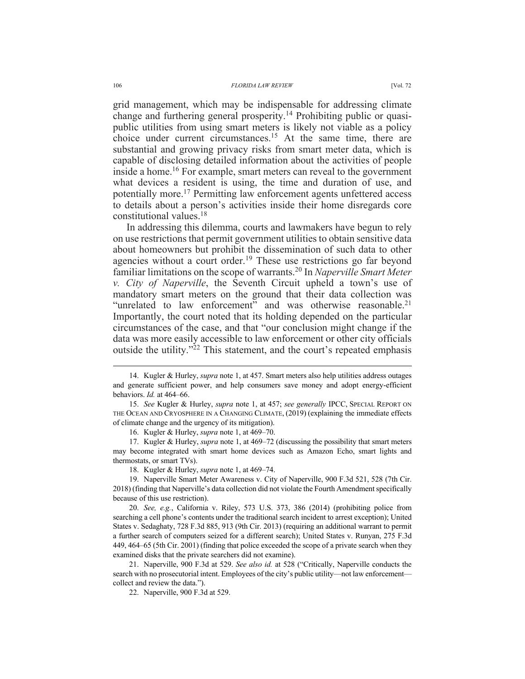grid management, which may be indispensable for addressing climate change and furthering general prosperity.<sup>14</sup> Prohibiting public or quasipublic utilities from using smart meters is likely not viable as a policy choice under current circumstances.<sup>15</sup> At the same time, there are substantial and growing privacy risks from smart meter data, which is capable of disclosing detailed information about the activities of people inside a home.<sup>16</sup> For example, smart meters can reveal to the government what devices a resident is using, the time and duration of use, and potentially more.17 Permitting law enforcement agents unfettered access to details about a person's activities inside their home disregards core constitutional values.18

In addressing this dilemma, courts and lawmakers have begun to rely on use restrictions that permit government utilities to obtain sensitive data about homeowners but prohibit the dissemination of such data to other agencies without a court order.<sup>19</sup> These use restrictions go far beyond familiar limitations on the scope of warrants.20 In *Naperville Smart Meter v. City of Naperville*, the Seventh Circuit upheld a town's use of mandatory smart meters on the ground that their data collection was "unrelated to law enforcement" and was otherwise reasonable.<sup>21</sup> Importantly, the court noted that its holding depended on the particular circumstances of the case, and that "our conclusion might change if the data was more easily accessible to law enforcement or other city officials outside the utility."<sup>22</sup> This statement, and the court's repeated emphasis

16. Kugler & Hurley, *supra* note 1, at 469–70.

17. Kugler & Hurley, *supra* note 1, at 469–72 (discussing the possibility that smart meters may become integrated with smart home devices such as Amazon Echo, smart lights and thermostats, or smart TVs).

18. Kugler & Hurley, *supra* note 1, at 469–74.

19. Naperville Smart Meter Awareness v. City of Naperville, 900 F.3d 521, 528 (7th Cir. 2018) (finding that Naperville's data collection did not violate the Fourth Amendment specifically because of this use restriction).

20. *See, e.g.*, California v. Riley, 573 U.S. 373, 386 (2014) (prohibiting police from searching a cell phone's contents under the traditional search incident to arrest exception); United States v. Sedaghaty, 728 F.3d 885, 913 (9th Cir. 2013) (requiring an additional warrant to permit a further search of computers seized for a different search); United States v. Runyan, 275 F.3d 449, 464–65 (5th Cir. 2001) (finding that police exceeded the scope of a private search when they examined disks that the private searchers did not examine).

21. Naperville, 900 F.3d at 529. *See also id.* at 528 ("Critically, Naperville conducts the search with no prosecutorial intent. Employees of the city's public utility—not law enforcement collect and review the data.").

22. Naperville, 900 F.3d at 529.

<sup>14.</sup> Kugler & Hurley, *supra* note 1, at 457. Smart meters also help utilities address outages and generate sufficient power, and help consumers save money and adopt energy-efficient behaviors. *Id.* at 464–66.

<sup>15.</sup> *See* Kugler & Hurley, *supra* note 1, at 457; *see generally* IPCC, SPECIAL REPORT ON THE OCEAN AND CRYOSPHERE IN A CHANGING CLIMATE, (2019) (explaining the immediate effects of climate change and the urgency of its mitigation).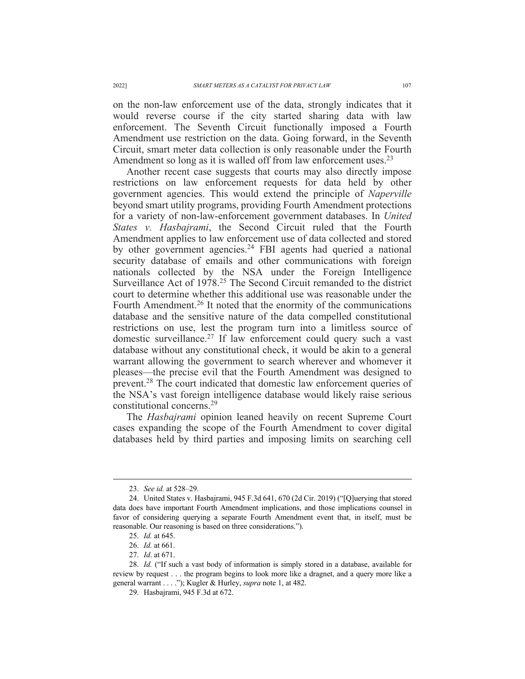on the non-law enforcement use of the data, strongly indicates that it would reverse course if the city started sharing data with law enforcement. The Seventh Circuit functionally imposed a Fourth Amendment use restriction on the data. Going forward, in the Seventh Circuit, smart meter data collection is only reasonable under the Fourth Amendment so long as it is walled off from law enforcement uses.<sup>23</sup>

Another recent case suggests that courts may also directly impose restrictions on law enforcement requests for data held by other government agencies. This would extend the principle of *Naperville*  beyond smart utility programs, providing Fourth Amendment protections for a variety of non-law-enforcement government databases. In *United States v. Hasbajrami*, the Second Circuit ruled that the Fourth Amendment applies to law enforcement use of data collected and stored by other government agencies.<sup>24</sup> FBI agents had queried a national security database of emails and other communications with foreign nationals collected by the NSA under the Foreign Intelligence Surveillance Act of 1978.25 The Second Circuit remanded to the district court to determine whether this additional use was reasonable under the Fourth Amendment.<sup>26</sup> It noted that the enormity of the communications database and the sensitive nature of the data compelled constitutional restrictions on use, lest the program turn into a limitless source of domestic surveillance.27 If law enforcement could query such a vast database without any constitutional check, it would be akin to a general warrant allowing the government to search wherever and whomever it pleases—the precise evil that the Fourth Amendment was designed to prevent.28 The court indicated that domestic law enforcement queries of the NSA's vast foreign intelligence database would likely raise serious constitutional concerns.29

The *Hasbajrami* opinion leaned heavily on recent Supreme Court cases expanding the scope of the Fourth Amendment to cover digital databases held by third parties and imposing limits on searching cell

<sup>23.</sup> *See id.* at 528–29.

<sup>24.</sup> United States v. Hasbajrami, 945 F.3d 641, 670 (2d Cir. 2019) ("[Q]uerying that stored data does have important Fourth Amendment implications, and those implications counsel in favor of considering querying a separate Fourth Amendment event that, in itself, must be reasonable. Our reasoning is based on three considerations.").

<sup>25.</sup> *Id.* at 645.

<sup>26.</sup> *Id.* at 661.

<sup>27.</sup> *Id*. at 671.

<sup>28.</sup> *Id.* ("If such a vast body of information is simply stored in a database, available for review by request . . . the program begins to look more like a dragnet, and a query more like a general warrant . . . ."); Kugler & Hurley, *supra* note 1, at 482.

<sup>29.</sup> Hasbajrami, 945 F.3d at 672.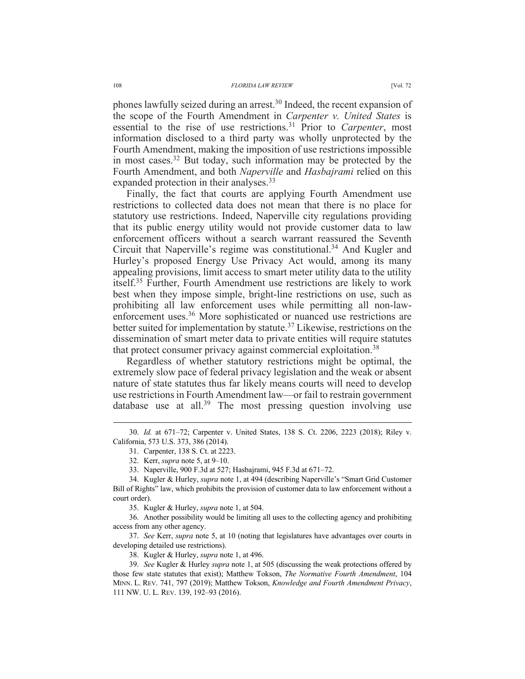phones lawfully seized during an arrest.30 Indeed, the recent expansion of the scope of the Fourth Amendment in *Carpenter v. United States* is essential to the rise of use restrictions.<sup>31</sup> Prior to *Carpenter*, most information disclosed to a third party was wholly unprotected by the Fourth Amendment, making the imposition of use restrictions impossible in most cases.32 But today, such information may be protected by the Fourth Amendment, and both *Naperville* and *Hasbajrami* relied on this expanded protection in their analyses.<sup>33</sup>

Finally, the fact that courts are applying Fourth Amendment use restrictions to collected data does not mean that there is no place for statutory use restrictions. Indeed, Naperville city regulations providing that its public energy utility would not provide customer data to law enforcement officers without a search warrant reassured the Seventh Circuit that Naperville's regime was constitutional.<sup>34</sup> And Kugler and Hurley's proposed Energy Use Privacy Act would, among its many appealing provisions, limit access to smart meter utility data to the utility itself.35 Further, Fourth Amendment use restrictions are likely to work best when they impose simple, bright-line restrictions on use, such as prohibiting all law enforcement uses while permitting all non-lawenforcement uses.<sup>36</sup> More sophisticated or nuanced use restrictions are better suited for implementation by statute.37 Likewise, restrictions on the dissemination of smart meter data to private entities will require statutes that protect consumer privacy against commercial exploitation.<sup>38</sup>

Regardless of whether statutory restrictions might be optimal, the extremely slow pace of federal privacy legislation and the weak or absent nature of state statutes thus far likely means courts will need to develop use restrictions in Fourth Amendment law—or fail to restrain government database use at all.<sup>39</sup> The most pressing question involving use

35. Kugler & Hurley, *supra* note 1, at 504.

36. Another possibility would be limiting all uses to the collecting agency and prohibiting access from any other agency.

37. *See* Kerr, *supra* note 5, at 10 (noting that legislatures have advantages over courts in developing detailed use restrictions).

38. Kugler & Hurley, *supra* note 1, at 496.

<sup>30.</sup> *Id.* at 671–72; Carpenter v. United States, 138 S. Ct. 2206, 2223 (2018); Riley v. California, 573 U.S. 373, 386 (2014).

<sup>31.</sup> Carpenter, 138 S. Ct. at 2223.

<sup>32.</sup> Kerr, *supra* note 5, at 9–10.

<sup>33.</sup> Naperville, 900 F.3d at 527; Hasbajrami, 945 F.3d at 671–72.

<sup>34.</sup> Kugler & Hurley, *supra* note 1, at 494 (describing Naperville's "Smart Grid Customer Bill of Rights" law, which prohibits the provision of customer data to law enforcement without a court order).

<sup>39.</sup> *See* Kugler & Hurley *supra* note 1, at 505 (discussing the weak protections offered by those few state statutes that exist); Matthew Tokson, *The Normative Fourth Amendment*, 104 MINN. L. REV. 741, 797 (2019); Matthew Tokson, *Knowledge and Fourth Amendment Privacy*, 111 NW. U. L. REV. 139, 192–93 (2016).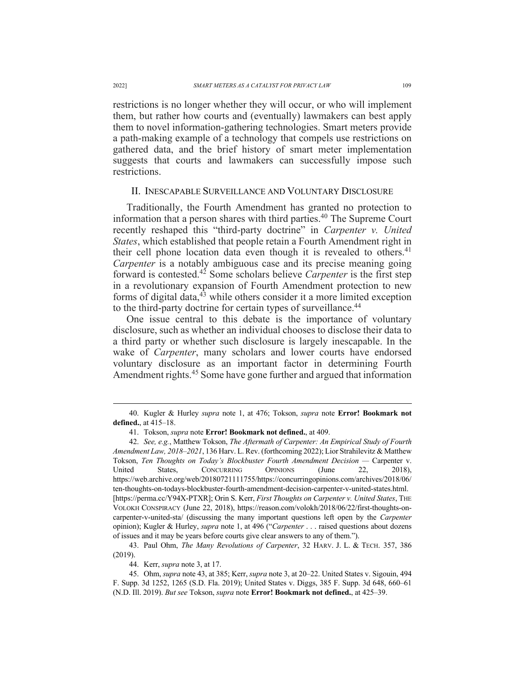restrictions is no longer whether they will occur, or who will implement them, but rather how courts and (eventually) lawmakers can best apply them to novel information-gathering technologies. Smart meters provide a path-making example of a technology that compels use restrictions on gathered data, and the brief history of smart meter implementation suggests that courts and lawmakers can successfully impose such restrictions.

#### II. INESCAPABLE SURVEILLANCE AND VOLUNTARY DISCLOSURE

Traditionally, the Fourth Amendment has granted no protection to information that a person shares with third parties.40 The Supreme Court recently reshaped this "third-party doctrine" in *Carpenter v. United States*, which established that people retain a Fourth Amendment right in their cell phone location data even though it is revealed to others.<sup>41</sup> *Carpenter* is a notably ambiguous case and its precise meaning going forward is contested.42 Some scholars believe *Carpenter* is the first step in a revolutionary expansion of Fourth Amendment protection to new forms of digital data, $43$  while others consider it a more limited exception to the third-party doctrine for certain types of surveillance.<sup>44</sup>

One issue central to this debate is the importance of voluntary disclosure, such as whether an individual chooses to disclose their data to a third party or whether such disclosure is largely inescapable. In the wake of *Carpenter*, many scholars and lower courts have endorsed voluntary disclosure as an important factor in determining Fourth Amendment rights.<sup>45</sup> Some have gone further and argued that information

<sup>40.</sup> Kugler & Hurley *supra* note 1, at 476; Tokson, *supra* note **Error! Bookmark not defined.**, at 415–18.

<sup>41.</sup> Tokson, *supra* note **Error! Bookmark not defined.**, at 409.

<sup>42.</sup> *See, e.g.*, Matthew Tokson, *The Aftermath of Carpenter: An Empirical Study of Fourth Amendment Law, 2018–2021*, 136 Harv. L. Rev. (forthcoming 2022); Lior Strahilevitz & Matthew Tokson, *Ten Thoughts on Today's Blockbuster Fourth Amendment Decision —* Carpenter v. United States, CONCURRING OPINIONS (June 22, 2018), https://web.archive.org/web/20180721111755/https://concurringopinions.com/archives/2018/06/ ten-thoughts-on-todays-blockbuster-fourth-amendment-decision-carpenter-v-united-states.html. [https://perma.cc/Y94X-PTXR]; Orin S. Kerr, *First Thoughts on Carpenter v. United States*, THE VOLOKH CONSPIRACY (June 22, 2018), https://reason.com/volokh/2018/06/22/first-thoughts-oncarpenter-v-united-sta/ (discussing the many important questions left open by the *Carpenter*  opinion); Kugler & Hurley, *supra* note 1, at 496 ("*Carpenter* . . . raised questions about dozens of issues and it may be years before courts give clear answers to any of them.").

<sup>43.</sup> Paul Ohm, *The Many Revolutions of Carpenter*, 32 HARV. J. L. & TECH. 357, 386 (2019).

<sup>44.</sup> Kerr, *supra* note 3, at 17.

<sup>45.</sup> Ohm, *supra* note 43, at 385; Kerr, *supra* note 3, at 20–22. United States v. Sigouin, 494 F. Supp. 3d 1252, 1265 (S.D. Fla. 2019); United States v. Diggs, 385 F. Supp. 3d 648, 660–61 (N.D. Ill. 2019). *But see* Tokson, *supra* note **Error! Bookmark not defined.**, at 425–39.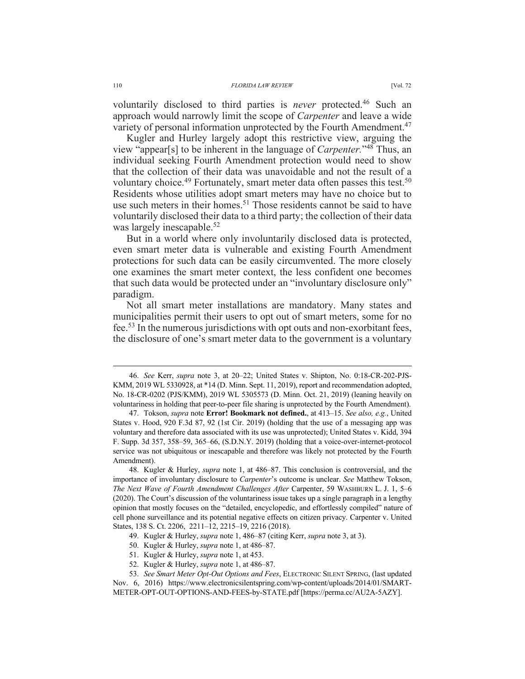voluntarily disclosed to third parties is *never* protected.46 Such an approach would narrowly limit the scope of *Carpenter* and leave a wide variety of personal information unprotected by the Fourth Amendment.<sup>47</sup>

Kugler and Hurley largely adopt this restrictive view, arguing the view "appear[s] to be inherent in the language of *Carpenter.*"48 Thus, an individual seeking Fourth Amendment protection would need to show that the collection of their data was unavoidable and not the result of a voluntary choice.<sup>49</sup> Fortunately, smart meter data often passes this test.<sup>50</sup> Residents whose utilities adopt smart meters may have no choice but to use such meters in their homes.<sup>51</sup> Those residents cannot be said to have voluntarily disclosed their data to a third party; the collection of their data was largely inescapable.<sup>52</sup>

But in a world where only involuntarily disclosed data is protected, even smart meter data is vulnerable and existing Fourth Amendment protections for such data can be easily circumvented. The more closely one examines the smart meter context, the less confident one becomes that such data would be protected under an "involuntary disclosure only" paradigm.

Not all smart meter installations are mandatory. Many states and municipalities permit their users to opt out of smart meters, some for no fee.53 In the numerous jurisdictions with opt outs and non-exorbitant fees, the disclosure of one's smart meter data to the government is a voluntary

- 51. Kugler & Hurley, *supra* note 1, at 453.
- 52. Kugler & Hurley, *supra* note 1, at 486–87.

<sup>46.</sup> *See* Kerr, *supra* note 3, at 20–22; United States v. Shipton, No. 0:18-CR-202-PJS-KMM, 2019 WL 5330928, at \*14 (D. Minn. Sept. 11, 2019), report and recommendation adopted, No. 18-CR-0202 (PJS/KMM), 2019 WL 5305573 (D. Minn. Oct. 21, 2019) (leaning heavily on voluntariness in holding that peer-to-peer file sharing is unprotected by the Fourth Amendment).

<sup>47.</sup> Tokson, *supra* note **Error! Bookmark not defined.**, at 413–15. *See also, e.g.*, United States v. Hood, 920 F.3d 87, 92 (1st Cir. 2019) (holding that the use of a messaging app was voluntary and therefore data associated with its use was unprotected); United States v. Kidd, 394 F. Supp. 3d 357, 358–59, 365–66, (S.D.N.Y. 2019) (holding that a voice-over-internet-protocol service was not ubiquitous or inescapable and therefore was likely not protected by the Fourth Amendment).

<sup>48.</sup> Kugler & Hurley, *supra* note 1, at 486–87. This conclusion is controversial, and the importance of involuntary disclosure to *Carpenter*'s outcome is unclear. *See* Matthew Tokson, *The Next Wave of Fourth Amendment Challenges After* Carpenter, 59 WASHBURN L. J. 1, 5–6 (2020). The Court's discussion of the voluntariness issue takes up a single paragraph in a lengthy opinion that mostly focuses on the "detailed, encyclopedic, and effortlessly compiled" nature of cell phone surveillance and its potential negative effects on citizen privacy. Carpenter v. United States, 138 S. Ct. 2206, 2211–12, 2215–19, 2216 (2018).

<sup>49.</sup> Kugler & Hurley, *supra* note 1, 486–87 (citing Kerr, *supra* note 3, at 3).

<sup>50.</sup> Kugler & Hurley, *supra* note 1, at 486–87.

<sup>53.</sup> *See Smart Meter Opt-Out Options and Fees*, ELECTRONIC SILENT SPRING, (last updated

Nov. 6, 2016) https://www.electronicsilentspring.com/wp-content/uploads/2014/01/SMART-METER-OPT-OUT-OPTIONS-AND-FEES-by-STATE.pdf [https://perma.cc/AU2A-5AZY].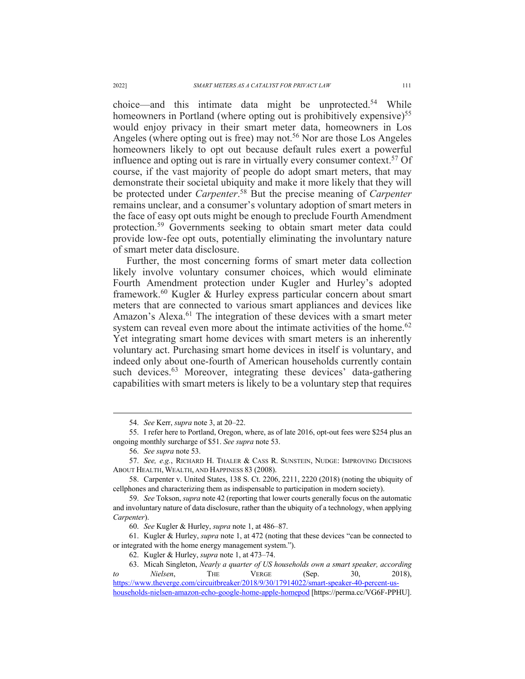$choice—and this intimate data might be unprotected.<sup>54</sup> While$ homeowners in Portland (where opting out is prohibitively expensive)<sup>55</sup> would enjoy privacy in their smart meter data, homeowners in Los Angeles (where opting out is free) may not.<sup>56</sup> Nor are those Los Angeles homeowners likely to opt out because default rules exert a powerful influence and opting out is rare in virtually every consumer context.57 Of course, if the vast majority of people do adopt smart meters, that may demonstrate their societal ubiquity and make it more likely that they will be protected under *Carpenter*. <sup>58</sup> But the precise meaning of *Carpenter*  remains unclear, and a consumer's voluntary adoption of smart meters in the face of easy opt outs might be enough to preclude Fourth Amendment protection.59 Governments seeking to obtain smart meter data could provide low-fee opt outs, potentially eliminating the involuntary nature of smart meter data disclosure.

Further, the most concerning forms of smart meter data collection likely involve voluntary consumer choices, which would eliminate Fourth Amendment protection under Kugler and Hurley's adopted framework.60 Kugler & Hurley express particular concern about smart meters that are connected to various smart appliances and devices like Amazon's Alexa.<sup>61</sup> The integration of these devices with a smart meter system can reveal even more about the intimate activities of the home.<sup>62</sup> Yet integrating smart home devices with smart meters is an inherently voluntary act. Purchasing smart home devices in itself is voluntary, and indeed only about one-fourth of American households currently contain such devices.<sup>63</sup> Moreover, integrating these devices' data-gathering capabilities with smart meters is likely to be a voluntary step that requires

<sup>54.</sup> *See* Kerr, *supra* note 3, at 20–22.

<sup>55.</sup> I refer here to Portland, Oregon, where, as of late 2016, opt-out fees were \$254 plus an ongoing monthly surcharge of \$51. *See supra* note 53.

<sup>56.</sup> *See supra* note 53.

<sup>57.</sup> *See, e.g.*, RICHARD H. THALER & CASS R. SUNSTEIN, NUDGE: IMPROVING DECISIONS ABOUT HEALTH, WEALTH, AND HAPPINESS 83 (2008).

<sup>58.</sup> Carpenter v. United States, 138 S. Ct. 2206, 2211, 2220 (2018) (noting the ubiquity of cellphones and characterizing them as indispensable to participation in modern society).

<sup>59.</sup> *See* Tokson, *supra* note 42 (reporting that lower courts generally focus on the automatic and involuntary nature of data disclosure, rather than the ubiquity of a technology, when applying *Carpenter*).

<sup>60.</sup> *See* Kugler & Hurley, *supra* note 1, at 486–87.

<sup>61.</sup> Kugler & Hurley, *supra* note 1, at 472 (noting that these devices "can be connected to or integrated with the home energy management system.").

<sup>62.</sup> Kugler & Hurley, *supra* note 1, at 473–74.

<sup>63.</sup> Micah Singleton, *Nearly a quarter of US households own a smart speaker, according to Nielsen*, THE VERGE (Sep. 30, 2018), https://www.theverge.com/circuitbreaker/2018/9/30/17914022/smart-speaker-40-percent-us-

households-nielsen-amazon-echo-google-home-apple-homepod [https://perma.cc/VG6F-PPHU].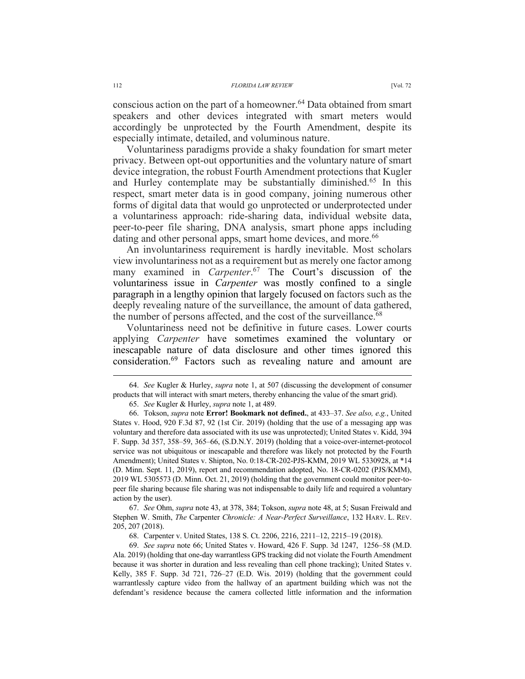conscious action on the part of a homeowner.<sup>64</sup> Data obtained from smart speakers and other devices integrated with smart meters would accordingly be unprotected by the Fourth Amendment, despite its especially intimate, detailed, and voluminous nature.

Voluntariness paradigms provide a shaky foundation for smart meter privacy. Between opt-out opportunities and the voluntary nature of smart device integration, the robust Fourth Amendment protections that Kugler and Hurley contemplate may be substantially diminished.65 In this respect, smart meter data is in good company, joining numerous other forms of digital data that would go unprotected or underprotected under a voluntariness approach: ride-sharing data, individual website data, peer-to-peer file sharing, DNA analysis, smart phone apps including dating and other personal apps, smart home devices, and more.<sup>66</sup>

An involuntariness requirement is hardly inevitable. Most scholars view involuntariness not as a requirement but as merely one factor among many examined in *Carpenter*. <sup>67</sup> The Court's discussion of the voluntariness issue in *Carpenter* was mostly confined to a single paragraph in a lengthy opinion that largely focused on factors such as the deeply revealing nature of the surveillance, the amount of data gathered, the number of persons affected, and the cost of the surveillance. $68$ 

Voluntariness need not be definitive in future cases. Lower courts applying *Carpenter* have sometimes examined the voluntary or inescapable nature of data disclosure and other times ignored this consideration.69 Factors such as revealing nature and amount are

67. *See* Ohm, *supra* note 43, at 378, 384; Tokson, *supra* note 48, at 5; Susan Freiwald and Stephen W. Smith, *The* Carpenter *Chronicle: A Near-Perfect Surveillance*, 132 HARV. L. REV. 205, 207 (2018).

<sup>64.</sup> *See* Kugler & Hurley, *supra* note 1, at 507 (discussing the development of consumer products that will interact with smart meters, thereby enhancing the value of the smart grid).

<sup>65.</sup> *See* Kugler & Hurley, *supra* note 1, at 489.

<sup>66.</sup> Tokson, *supra* note **Error! Bookmark not defined.**, at 433–37. *See also, e.g.*, United States v. Hood, 920 F.3d 87, 92 (1st Cir. 2019) (holding that the use of a messaging app was voluntary and therefore data associated with its use was unprotected); United States v. Kidd, 394 F. Supp. 3d 357, 358–59, 365–66, (S.D.N.Y. 2019) (holding that a voice-over-internet-protocol service was not ubiquitous or inescapable and therefore was likely not protected by the Fourth Amendment); United States v. Shipton, No. 0:18-CR-202-PJS-KMM, 2019 WL 5330928, at \*14 (D. Minn. Sept. 11, 2019), report and recommendation adopted, No. 18-CR-0202 (PJS/KMM), 2019 WL 5305573 (D. Minn. Oct. 21, 2019) (holding that the government could monitor peer-topeer file sharing because file sharing was not indispensable to daily life and required a voluntary action by the user).

<sup>68.</sup> Carpenter v. United States, 138 S. Ct. 2206, 2216, 2211–12, 2215–19 (2018).

<sup>69.</sup> *See supra* note 66; United States v. Howard, 426 F. Supp. 3d 1247, 1256–58 (M.D. Ala. 2019) (holding that one-day warrantless GPS tracking did not violate the Fourth Amendment because it was shorter in duration and less revealing than cell phone tracking); United States v. Kelly, 385 F. Supp. 3d 721, 726–27 (E.D. Wis. 2019) (holding that the government could warrantlessly capture video from the hallway of an apartment building which was not the defendant's residence because the camera collected little information and the information